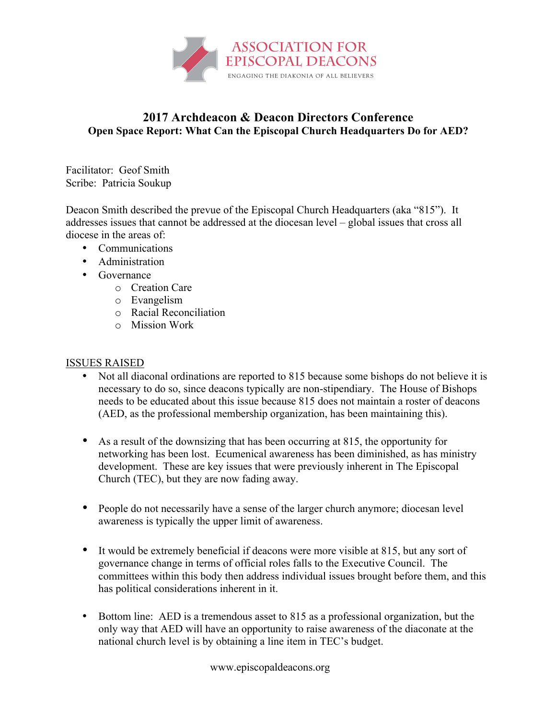

## **2017 Archdeacon & Deacon Directors Conference Open Space Report: What Can the Episcopal Church Headquarters Do for AED?**

Facilitator: Geof Smith Scribe: Patricia Soukup

Deacon Smith described the prevue of the Episcopal Church Headquarters (aka "815"). It addresses issues that cannot be addressed at the diocesan level – global issues that cross all diocese in the areas of:

- Communications
- Administration
- Governance
	- o Creation Care
	- o Evangelism
	- o Racial Reconciliation
	- o Mission Work

## ISSUES RAISED

- Not all diaconal ordinations are reported to 815 because some bishops do not believe it is necessary to do so, since deacons typically are non-stipendiary. The House of Bishops needs to be educated about this issue because 815 does not maintain a roster of deacons (AED, as the professional membership organization, has been maintaining this).
- As a result of the downsizing that has been occurring at 815, the opportunity for networking has been lost. Ecumenical awareness has been diminished, as has ministry development. These are key issues that were previously inherent in The Episcopal Church (TEC), but they are now fading away.
- People do not necessarily have a sense of the larger church anymore; diocesan level awareness is typically the upper limit of awareness.
- It would be extremely beneficial if deacons were more visible at 815, but any sort of governance change in terms of official roles falls to the Executive Council. The committees within this body then address individual issues brought before them, and this has political considerations inherent in it.
- Bottom line: AED is a tremendous asset to 815 as a professional organization, but the only way that AED will have an opportunity to raise awareness of the diaconate at the national church level is by obtaining a line item in TEC's budget.